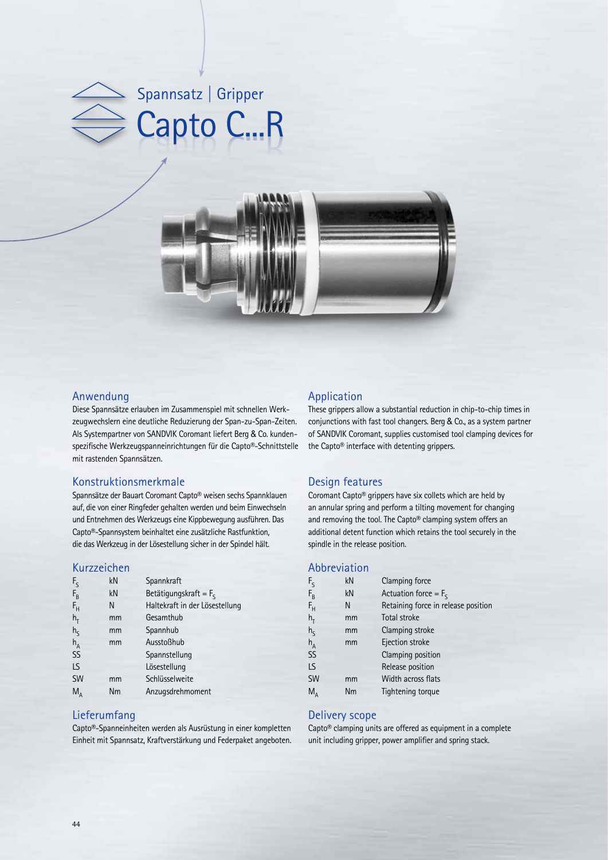



## Anwendung

Diese Spannsätze erlauben im Zusammenspiel mit schnellen Werkzeugwechslern eine deutliche Reduzierung der Span-zu-Span-Zeiten. Als Systempartner von SANDVIK Coromant liefert Berg & Co. kundenspezifische Werkzeugspanneinrichtungen für die Capto®-Schnittstelle mit rastenden Spannsätzen.

### Konstruktionsmerkmale

Spannsätze der Bauart Coromant Capto® weisen sechs Spannklauen auf, die von einer Ringfeder gehalten werden und beim Einwechseln und Entnehmen des Werkzeugs eine Kippbewegung ausführen. Das Capto®-Spannsystem beinhaltet eine zusätzliche Rastfunktion, die das Werkzeug in der Lösestellung sicher in der Spindel hält.

## Kurzzeichen

| kN | Spannkraft                     |  |  |
|----|--------------------------------|--|--|
| kN | Betätigungskraft = $F_s$       |  |  |
| N  | Haltekraft in der Lösestellung |  |  |
| mm | Gesamthub                      |  |  |
| mm | Spannhub                       |  |  |
| mm | Ausstoßhub                     |  |  |
|    | Spannstellung                  |  |  |
|    | Lösestellung                   |  |  |
| mm | Schlüsselweite                 |  |  |
| Nm | Anzugsdrehmoment               |  |  |
|    |                                |  |  |

### Lieferumfang

Capto®-Spanneinheiten werden als Ausrüstung in einer kompletten Einheit mit Spannsatz, Kraftverstärkung und Federpaket angeboten.

## Application

These grippers allow a substantial reduction in chip-to-chip times in conjunctions with fast tool changers. Berg & Co., as a system partner of SANDVIK Coromant, supplies customised tool clamping devices for the Capto® interface with detenting grippers.

### Design features

Coromant Capto® grippers have six collets which are held by an annular spring and perform a tilting movement for changing and removing the tool. The Capto® clamping system offers an additional detent function which retains the tool securely in the spindle in the release position.

## Abbreviation

| kN | Clamping force                      |  |  |
|----|-------------------------------------|--|--|
| kN | Actuation force = $F_s$             |  |  |
| N  | Retaining force in release position |  |  |
| mm | Total stroke                        |  |  |
| mm | Clamping stroke                     |  |  |
| mm | Ejection stroke                     |  |  |
|    | Clamping position                   |  |  |
|    | Release position                    |  |  |
| mm | Width across flats                  |  |  |
| Nm | Tightening torque                   |  |  |
|    |                                     |  |  |

#### Delivery scope

Capto® clamping units are offered as equipment in a complete unit including gripper, power amplifier and spring stack.